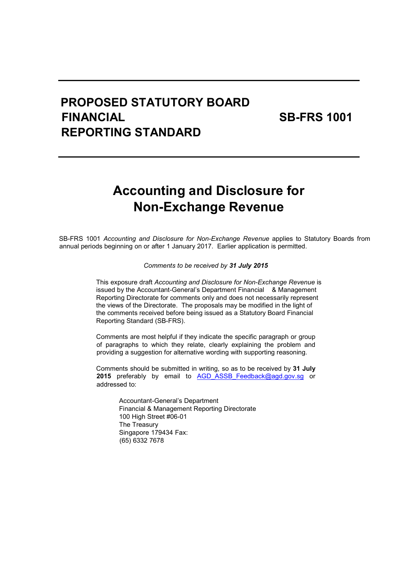# PROPOSED STATUTORY BOARD FINANCIAL SB-FRS 1001 REPORTING STANDARD

# Accounting and Disclosure for Non-Exchange Revenue

SB-FRS 1001 Accounting and Disclosure for Non-Exchange Revenue applies to Statutory Boards from annual periods beginning on or after 1 January 2017. Earlier application is permitted.

Comments to be received by 31 July 2015

This exposure draft Accounting and Disclosure for Non-Exchange Revenue is issued by the Accountant-General's Department Financial & Management Reporting Directorate for comments only and does not necessarily represent the views of the Directorate. The proposals may be modified in the light of the comments received before being issued as a Statutory Board Financial Reporting Standard (SB-FRS).

Comments are most helpful if they indicate the specific paragraph or group of paragraphs to which they relate, clearly explaining the problem and providing a suggestion for alternative wording with supporting reasoning.

Comments should be submitted in writing, so as to be received by 31 July 2015 preferably by email to AGD ASSB Feedback@agd.gov.sg or addressed to:

> Accountant-General's Department Financial & Management Reporting Directorate 100 High Street #06-01 The Treasury Singapore 179434 Fax: (65) 6332 7678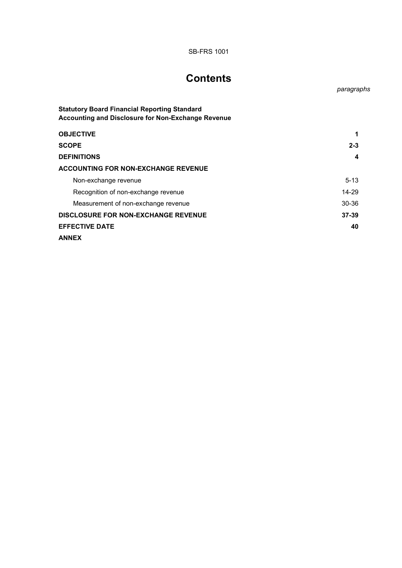# **Contents**

paragraphs

| <b>Statutory Board Financial Reporting Standard</b><br><b>Accounting and Disclosure for Non-Exchange Revenue</b> |          |
|------------------------------------------------------------------------------------------------------------------|----------|
| <b>OBJECTIVE</b>                                                                                                 |          |
| <b>SCOPE</b>                                                                                                     | $2 - 3$  |
| <b>DEFINITIONS</b>                                                                                               | 4        |
| <b>ACCOUNTING FOR NON-EXCHANGE REVENUE</b>                                                                       |          |
| Non-exchange revenue                                                                                             | $5 - 13$ |
| Recognition of non-exchange revenue                                                                              | 14-29    |
| Measurement of non-exchange revenue                                                                              | 30-36    |
| <b>DISCLOSURE FOR NON-EXCHANGE REVENUE</b>                                                                       | $37-39$  |
| <b>EFFECTIVE DATE</b>                                                                                            | 40       |
| <b>ANNEX</b>                                                                                                     |          |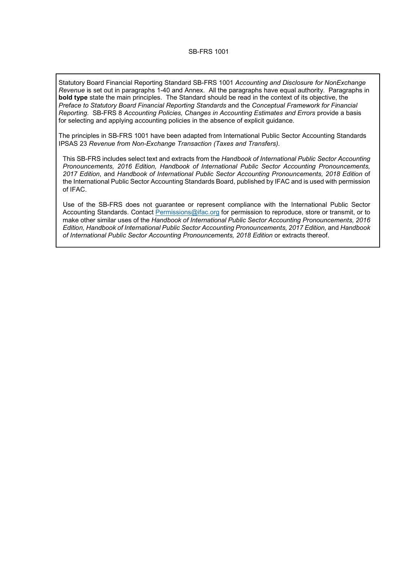Statutory Board Financial Reporting Standard SB-FRS 1001 Accounting and Disclosure for NonExchange Revenue is set out in paragraphs 1-40 and Annex. All the paragraphs have equal authority. Paragraphs in bold type state the main principles. The Standard should be read in the context of its objective, the Preface to Statutory Board Financial Reporting Standards and the Conceptual Framework for Financial Reporting. SB-FRS 8 Accounting Policies, Changes in Accounting Estimates and Errors provide a basis for selecting and applying accounting policies in the absence of explicit guidance.

The principles in SB-FRS 1001 have been adapted from International Public Sector Accounting Standards IPSAS 23 Revenue from Non-Exchange Transaction (Taxes and Transfers).

This SB-FRS includes select text and extracts from the Handbook of International Public Sector Accounting Pronouncements, 2016 Edition, Handbook of International Public Sector Accounting Pronouncements, 2017 Edition, and Handbook of International Public Sector Accounting Pronouncements, 2018 Edition of the International Public Sector Accounting Standards Board, published by IFAC and is used with permission of IFAC.

Use of the SB-FRS does not guarantee or represent compliance with the International Public Sector Accounting Standards. Contact Permissions@ifac.org for permission to reproduce, store or transmit, or to make other similar uses of the Handbook of International Public Sector Accounting Pronouncements, 2016 Edition, Handbook of International Public Sector Accounting Pronouncements, 2017 Edition, and Handbook of International Public Sector Accounting Pronouncements, 2018 Edition or extracts thereof.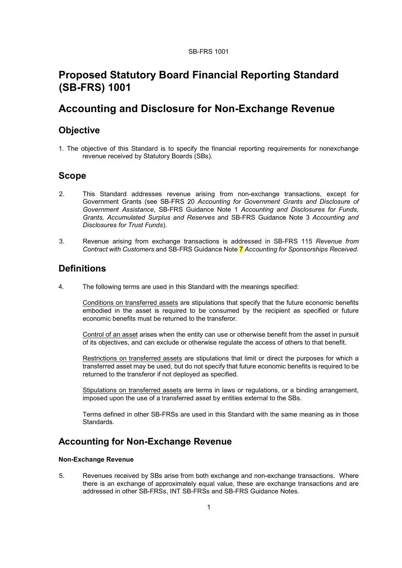# Proposed Statutory Board Financial Reporting Standard (SB-FRS) 1001

# Accounting and Disclosure for Non-Exchange Revenue

### **Objective**

1. The objective of this Standard is to specify the financial reporting requirements for nonexchange revenue received by Statutory Boards (SBs).

## Scope

- 2. This Standard addresses revenue arising from non-exchange transactions, except for Government Grants (see SB-FRS 20 Accounting for Government Grants and Disclosure of Government Assistance, SB-FRS Guidance Note 1 Accounting and Disclosures for Funds, Grants, Accumulated Surplus and Reserves and SB-FRS Guidance Note 3 Accounting and Disclosures for Trust Funds).
- 3. Revenue arising from exchange transactions is addressed in SB-FRS 115 Revenue from Contract with Customers and SB-FRS Guidance Note 7 Accounting for Sponsorships Received.

### **Definitions**

4. The following terms are used in this Standard with the meanings specified:

Conditions on transferred assets are stipulations that specify that the future economic benefits embodied in the asset is required to be consumed by the recipient as specified or future economic benefits must be returned to the transferor.

Control of an asset arises when the entity can use or otherwise benefit from the asset in pursuit of its objectives, and can exclude or otherwise regulate the access of others to that benefit.

Restrictions on transferred assets are stipulations that limit or direct the purposes for which a transferred asset may be used, but do not specify that future economic benefits is required to be returned to the transferor if not deployed as specified.

Stipulations on transferred assets are terms in laws or regulations, or a binding arrangement, imposed upon the use of a transferred asset by entities external to the SBs.

Terms defined in other SB-FRSs are used in this Standard with the same meaning as in those Standards.

## Accounting for Non-Exchange Revenue

#### Non-Exchange Revenue

5. Revenues received by SBs arise from both exchange and non-exchange transactions. Where there is an exchange of approximately equal value, these are exchange transactions and are addressed in other SB-FRSs, INT SB-FRSs and SB-FRS Guidance Notes.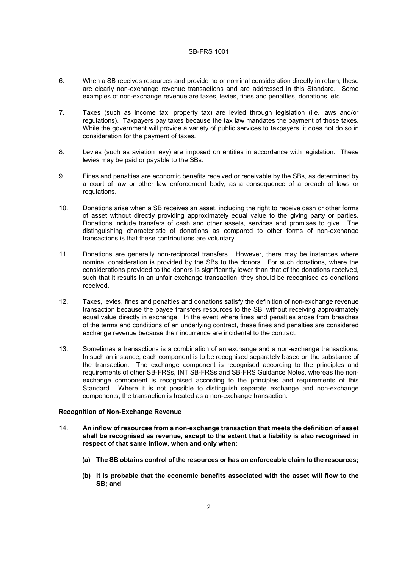- 6. When a SB receives resources and provide no or nominal consideration directly in return, these are clearly non-exchange revenue transactions and are addressed in this Standard. Some examples of non-exchange revenue are taxes, levies, fines and penalties, donations, etc.
- 7. Taxes (such as income tax, property tax) are levied through legislation (i.e. laws and/or regulations). Taxpayers pay taxes because the tax law mandates the payment of those taxes. While the government will provide a variety of public services to taxpayers, it does not do so in consideration for the payment of taxes.
- 8. Levies (such as aviation levy) are imposed on entities in accordance with legislation. These levies may be paid or payable to the SBs.
- 9. Fines and penalties are economic benefits received or receivable by the SBs, as determined by a court of law or other law enforcement body, as a consequence of a breach of laws or regulations.
- 10. Donations arise when a SB receives an asset, including the right to receive cash or other forms of asset without directly providing approximately equal value to the giving party or parties. Donations include transfers of cash and other assets, services and promises to give. The distinguishing characteristic of donations as compared to other forms of non-exchange transactions is that these contributions are voluntary.
- 11. Donations are generally non-reciprocal transfers. However, there may be instances where nominal consideration is provided by the SBs to the donors. For such donations, where the considerations provided to the donors is significantly lower than that of the donations received, such that it results in an unfair exchange transaction, they should be recognised as donations received.
- 12. Taxes, levies, fines and penalties and donations satisfy the definition of non-exchange revenue transaction because the payee transfers resources to the SB, without receiving approximately equal value directly in exchange. In the event where fines and penalties arose from breaches of the terms and conditions of an underlying contract, these fines and penalties are considered exchange revenue because their incurrence are incidental to the contract.
- 13. Sometimes a transactions is a combination of an exchange and a non-exchange transactions. In such an instance, each component is to be recognised separately based on the substance of the transaction. The exchange component is recognised according to the principles and requirements of other SB-FRSs, INT SB-FRSs and SB-FRS Guidance Notes, whereas the nonexchange component is recognised according to the principles and requirements of this Standard. Where it is not possible to distinguish separate exchange and non-exchange components, the transaction is treated as a non-exchange transaction.

#### Recognition of Non-Exchange Revenue

- 14. An inflow of resources from a non-exchange transaction that meets the definition of asset shall be recognised as revenue, except to the extent that a liability is also recognised in respect of that same inflow, when and only when:
	- (a) The SB obtains control of the resources or has an enforceable claim to the resources;
	- (b) It is probable that the economic benefits associated with the asset will flow to the SB; and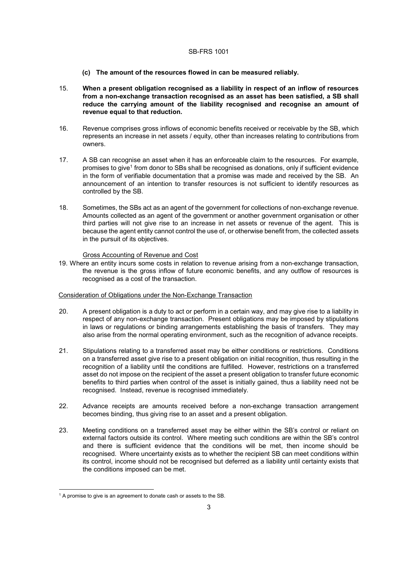- (c) The amount of the resources flowed in can be measured reliably.
- 15. When a present obligation recognised as a liability in respect of an inflow of resources from a non-exchange transaction recognised as an asset has been satisfied, a SB shall reduce the carrying amount of the liability recognised and recognise an amount of revenue equal to that reduction.
- 16. Revenue comprises gross inflows of economic benefits received or receivable by the SB, which represents an increase in net assets / equity, other than increases relating to contributions from owners.
- 17. A SB can recognise an asset when it has an enforceable claim to the resources. For example, promises to give<sup>1</sup> from donor to SBs shall be recognised as donations, only if sufficient evidence in the form of verifiable documentation that a promise was made and received by the SB. An announcement of an intention to transfer resources is not sufficient to identify resources as controlled by the SB.
- 18. Sometimes, the SBs act as an agent of the government for collections of non-exchange revenue. Amounts collected as an agent of the government or another government organisation or other third parties will not give rise to an increase in net assets or revenue of the agent. This is because the agent entity cannot control the use of, or otherwise benefit from, the collected assets in the pursuit of its objectives.

#### Gross Accounting of Revenue and Cost

19. Where an entity incurs some costs in relation to revenue arising from a non-exchange transaction, the revenue is the gross inflow of future economic benefits, and any outflow of resources is recognised as a cost of the transaction.

#### Consideration of Obligations under the Non-Exchange Transaction

- 20. A present obligation is a duty to act or perform in a certain way, and may give rise to a liability in respect of any non-exchange transaction. Present obligations may be imposed by stipulations in laws or regulations or binding arrangements establishing the basis of transfers. They may also arise from the normal operating environment, such as the recognition of advance receipts.
- 21. Stipulations relating to a transferred asset may be either conditions or restrictions. Conditions on a transferred asset give rise to a present obligation on initial recognition, thus resulting in the recognition of a liability until the conditions are fulfilled. However, restrictions on a transferred asset do not impose on the recipient of the asset a present obligation to transfer future economic benefits to third parties when control of the asset is initially gained, thus a liability need not be recognised. Instead, revenue is recognised immediately.
- 22. Advance receipts are amounts received before a non-exchange transaction arrangement becomes binding, thus giving rise to an asset and a present obligation.
- 23. Meeting conditions on a transferred asset may be either within the SB's control or reliant on external factors outside its control. Where meeting such conditions are within the SB's control and there is sufficient evidence that the conditions will be met, then income should be recognised. Where uncertainty exists as to whether the recipient SB can meet conditions within its control, income should not be recognised but deferred as a liability until certainty exists that the conditions imposed can be met.

 $\overline{a}$ 

 $1$  A promise to give is an agreement to donate cash or assets to the SB.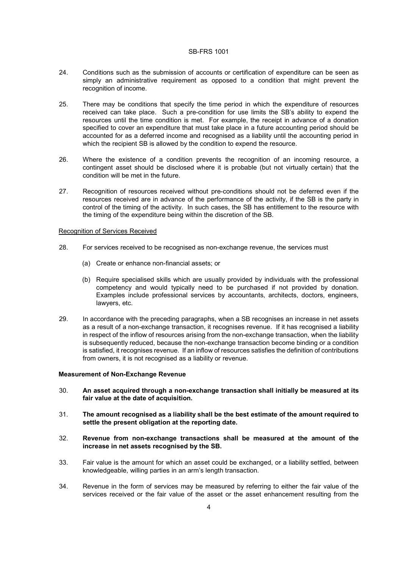- 24. Conditions such as the submission of accounts or certification of expenditure can be seen as simply an administrative requirement as opposed to a condition that might prevent the recognition of income.
- 25. There may be conditions that specify the time period in which the expenditure of resources received can take place. Such a pre-condition for use limits the SB's ability to expend the resources until the time condition is met. For example, the receipt in advance of a donation specified to cover an expenditure that must take place in a future accounting period should be accounted for as a deferred income and recognised as a liability until the accounting period in which the recipient SB is allowed by the condition to expend the resource.
- 26. Where the existence of a condition prevents the recognition of an incoming resource, a contingent asset should be disclosed where it is probable (but not virtually certain) that the condition will be met in the future.
- 27. Recognition of resources received without pre-conditions should not be deferred even if the resources received are in advance of the performance of the activity, if the SB is the party in control of the timing of the activity. In such cases, the SB has entitlement to the resource with the timing of the expenditure being within the discretion of the SB.

#### Recognition of Services Received

- 28. For services received to be recognised as non-exchange revenue, the services must
	- (a) Create or enhance non-financial assets; or
	- (b) Require specialised skills which are usually provided by individuals with the professional competency and would typically need to be purchased if not provided by donation. Examples include professional services by accountants, architects, doctors, engineers, lawyers, etc.
- 29. In accordance with the preceding paragraphs, when a SB recognises an increase in net assets as a result of a non-exchange transaction, it recognises revenue. If it has recognised a liability in respect of the inflow of resources arising from the non-exchange transaction, when the liability is subsequently reduced, because the non-exchange transaction become binding or a condition is satisfied, it recognises revenue. If an inflow of resources satisfies the definition of contributions from owners, it is not recognised as a liability or revenue.

#### Measurement of Non-Exchange Revenue

- 30. An asset acquired through a non-exchange transaction shall initially be measured at its fair value at the date of acquisition.
- 31. The amount recognised as a liability shall be the best estimate of the amount required to settle the present obligation at the reporting date.
- 32. Revenue from non-exchange transactions shall be measured at the amount of the increase in net assets recognised by the SB.
- 33. Fair value is the amount for which an asset could be exchanged, or a liability settled, between knowledgeable, willing parties in an arm's length transaction.
- 34. Revenue in the form of services may be measured by referring to either the fair value of the services received or the fair value of the asset or the asset enhancement resulting from the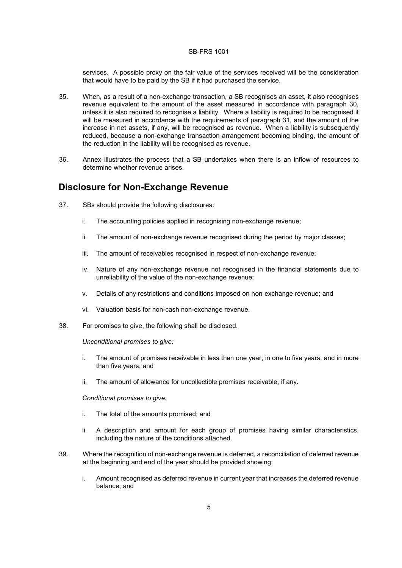services. A possible proxy on the fair value of the services received will be the consideration that would have to be paid by the SB if it had purchased the service.

- 35. When, as a result of a non-exchange transaction, a SB recognises an asset, it also recognises revenue equivalent to the amount of the asset measured in accordance with paragraph 30, unless it is also required to recognise a liability. Where a liability is required to be recognised it will be measured in accordance with the requirements of paragraph 31, and the amount of the increase in net assets, if any, will be recognised as revenue. When a liability is subsequently reduced, because a non-exchange transaction arrangement becoming binding, the amount of the reduction in the liability will be recognised as revenue.
- 36. Annex illustrates the process that a SB undertakes when there is an inflow of resources to determine whether revenue arises.

### Disclosure for Non-Exchange Revenue

- 37. SBs should provide the following disclosures:
	- i. The accounting policies applied in recognising non-exchange revenue;
	- ii. The amount of non-exchange revenue recognised during the period by major classes;
	- iii. The amount of receivables recognised in respect of non-exchange revenue;
	- iv. Nature of any non-exchange revenue not recognised in the financial statements due to unreliability of the value of the non-exchange revenue;
	- v. Details of any restrictions and conditions imposed on non-exchange revenue; and
	- vi. Valuation basis for non-cash non-exchange revenue.
- 38. For promises to give, the following shall be disclosed.

Unconditional promises to give:

- i. The amount of promises receivable in less than one year, in one to five years, and in more than five years; and
- ii. The amount of allowance for uncollectible promises receivable, if any.

Conditional promises to give:

- i. The total of the amounts promised; and
- ii. A description and amount for each group of promises having similar characteristics, including the nature of the conditions attached.
- 39. Where the recognition of non-exchange revenue is deferred, a reconciliation of deferred revenue at the beginning and end of the year should be provided showing:
	- i. Amount recognised as deferred revenue in current year that increases the deferred revenue balance; and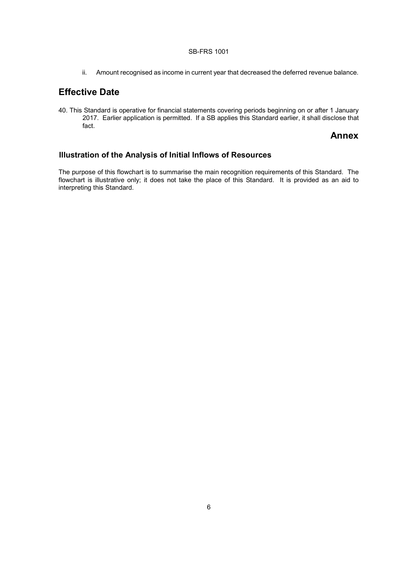ii. Amount recognised as income in current year that decreased the deferred revenue balance.

# Effective Date

40. This Standard is operative for financial statements covering periods beginning on or after 1 January 2017. Earlier application is permitted. If a SB applies this Standard earlier, it shall disclose that fact.

#### Annex

### Illustration of the Analysis of Initial Inflows of Resources

The purpose of this flowchart is to summarise the main recognition requirements of this Standard. The flowchart is illustrative only; it does not take the place of this Standard. It is provided as an aid to interpreting this Standard.